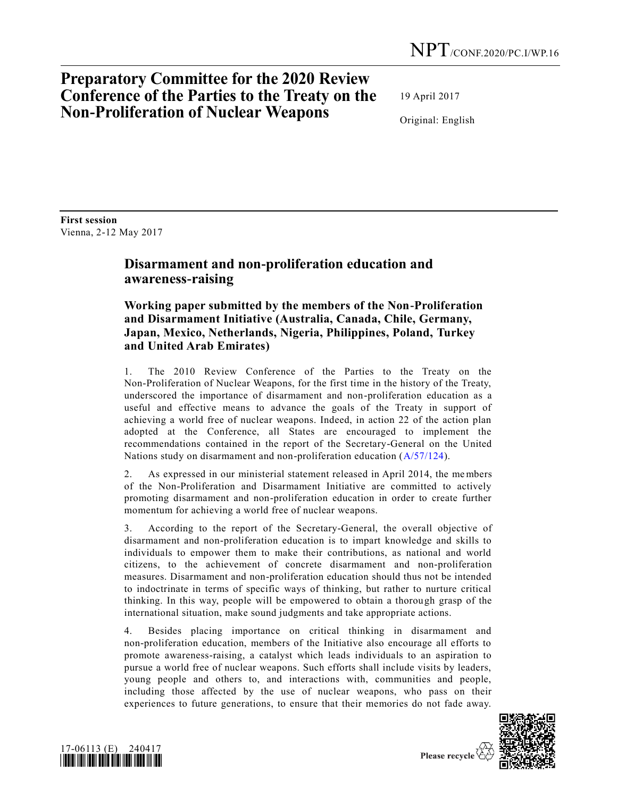# **Preparatory Committee for the 2020 Review Conference of the Parties to the Treaty on the Non-Proliferation of Nuclear Weapons**

19 April 2017

Original: English

**First session** Vienna, 2-12 May 2017

## **Disarmament and non-proliferation education and awareness-raising**

### **Working paper submitted by the members of the Non-Proliferation and Disarmament Initiative (Australia, Canada, Chile, Germany, Japan, Mexico, Netherlands, Nigeria, Philippines, Poland, Turkey and United Arab Emirates)**

1. The 2010 Review Conference of the Parties to the Treaty on the Non-Proliferation of Nuclear Weapons, for the first time in the history of the Treaty, underscored the importance of disarmament and non-proliferation education as a useful and effective means to advance the goals of the Treaty in support of achieving a world free of nuclear weapons. Indeed, in action 22 of the action plan adopted at the Conference, all States are encouraged to implement the recommendations contained in the report of the Secretary-General on the United Nations study on disarmament and non-proliferation education  $(A/57/124)$ .

2. As expressed in our ministerial statement released in April 2014, the members of the Non-Proliferation and Disarmament Initiative are committed to actively promoting disarmament and non-proliferation education in order to create further momentum for achieving a world free of nuclear weapons.

3. According to the report of the Secretary-General, the overall objective of disarmament and non-proliferation education is to impart knowledge and skills to individuals to empower them to make their contributions, as national and world citizens, to the achievement of concrete disarmament and non-proliferation measures. Disarmament and non-proliferation education should thus not be intended to indoctrinate in terms of specific ways of thinking, but rather to nurture critical thinking. In this way, people will be empowered to obtain a thorough grasp of the international situation, make sound judgments and take appropriate actions.

4. Besides placing importance on critical thinking in disarmament and non-proliferation education, members of the Initiative also encourage all efforts to promote awareness-raising, a catalyst which leads individuals to an aspiration to pursue a world free of nuclear weapons. Such efforts shall include visits by leaders, young people and others to, and interactions with, communities and people, including those affected by the use of nuclear weapons, who pass on their experiences to future generations, to ensure that their memories do not fade away.



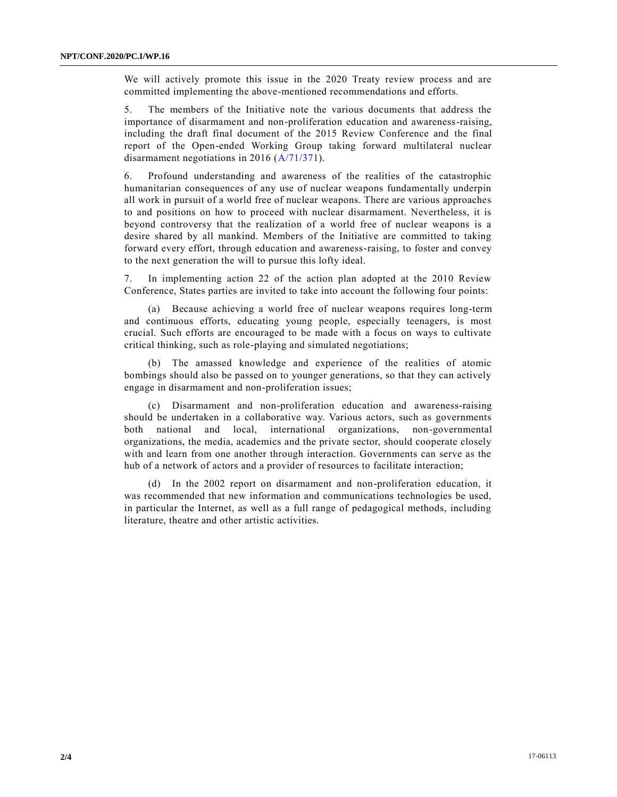We will actively promote this issue in the 2020 Treaty review process and are committed implementing the above-mentioned recommendations and efforts.

5. The members of the Initiative note the various documents that address the importance of disarmament and non-proliferation education and awareness-raising, including the draft final document of the 2015 Review Conference and the final report of the Open-ended Working Group taking forward multilateral nuclear disarmament negotiations in 2016 [\(A/71/371\)](http://undocs.org/A/71/371).

6. Profound understanding and awareness of the realities of the catastrophic humanitarian consequences of any use of nuclear weapons fundamentally underpin all work in pursuit of a world free of nuclear weapons. There are various approaches to and positions on how to proceed with nuclear disarmament. Nevertheless, it is beyond controversy that the realization of a world free of nuclear weapons is a desire shared by all mankind. Members of the Initiative are committed to taking forward every effort, through education and awareness-raising, to foster and convey to the next generation the will to pursue this lofty ideal.

7. In implementing action 22 of the action plan adopted at the 2010 Review Conference, States parties are invited to take into account the following four points:

(a) Because achieving a world free of nuclear weapons requires long-term and continuous efforts, educating young people, especially teenagers, is most crucial. Such efforts are encouraged to be made with a focus on ways to cultivate critical thinking, such as role-playing and simulated negotiations;

(b) The amassed knowledge and experience of the realities of atomic bombings should also be passed on to younger generations, so that they can actively engage in disarmament and non-proliferation issues;

(c) Disarmament and non-proliferation education and awareness-raising should be undertaken in a collaborative way. Various actors, such as governments both national and local, international organizations, non-governmental organizations, the media, academics and the private sector, should cooperate closely with and learn from one another through interaction. Governments can serve as the hub of a network of actors and a provider of resources to facilitate interaction;

(d) In the 2002 report on disarmament and non-proliferation education, it was recommended that new information and communications technologies be used, in particular the Internet, as well as a full range of pedagogical methods, including literature, theatre and other artistic activities.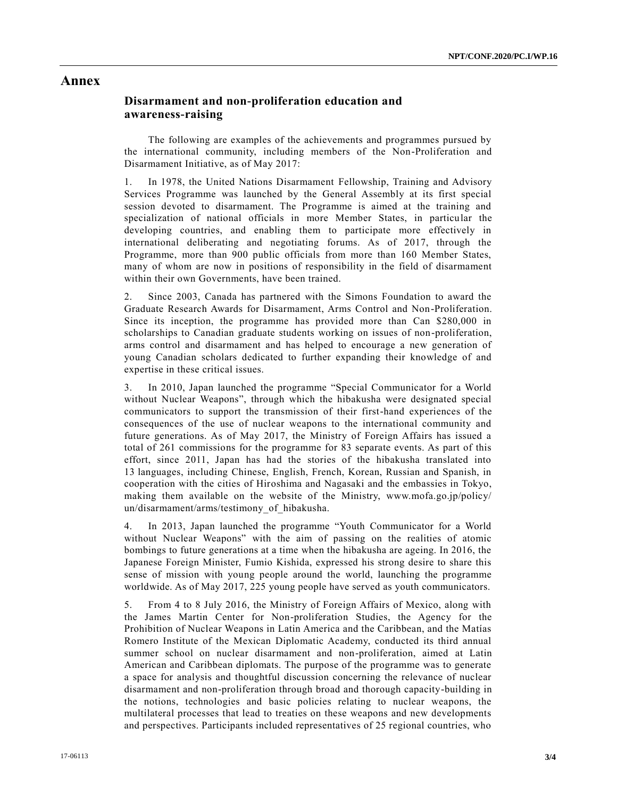#### **Annex**

### **Disarmament and non-proliferation education and awareness-raising**

The following are examples of the achievements and programmes pursued by the international community, including members of the Non-Proliferation and Disarmament Initiative, as of May 2017:

1. In 1978, the United Nations Disarmament Fellowship, Training and Advisory Services Programme was launched by the General Assembly at its first special session devoted to disarmament. The Programme is aimed at the training and specialization of national officials in more Member States, in particular the developing countries, and enabling them to participate more effectively in international deliberating and negotiating forums. As of 2017, through the Programme, more than 900 public officials from more than 160 Member States, many of whom are now in positions of responsibility in the field of disarmament within their own Governments, have been trained.

2. Since 2003, Canada has partnered with the Simons Foundation to award the Graduate Research Awards for Disarmament, Arms Control and Non-Proliferation. Since its inception, the programme has provided more than Can \$280,000 in scholarships to Canadian graduate students working on issues of non-proliferation, arms control and disarmament and has helped to encourage a new generation of young Canadian scholars dedicated to further expanding their knowledge of and expertise in these critical issues.

3. In 2010, Japan launched the programme "Special Communicator for a World without Nuclear Weapons", through which the hibakusha were designated special communicators to support the transmission of their first-hand experiences of the consequences of the use of nuclear weapons to the international community and future generations. As of May 2017, the Ministry of Foreign Affairs has issued a total of 261 commissions for the programme for 83 separate events. As part of this effort, since 2011, Japan has had the stories of the hibakusha translated into 13 languages, including Chinese, English, French, Korean, Russian and Spanish, in cooperation with the cities of Hiroshima and Nagasaki and the embassies in Tokyo, making them available on the website of the Ministry, www.mofa.go.jp/policy/ un/disarmament/arms/testimony\_of\_hibakusha.

4. In 2013, Japan launched the programme "Youth Communicator for a World without Nuclear Weapons" with the aim of passing on the realities of atomic bombings to future generations at a time when the hibakusha are ageing. In 2016, the Japanese Foreign Minister, Fumio Kishida, expressed his strong desire to share this sense of mission with young people around the world, launching the programme worldwide. As of May 2017, 225 young people have served as youth communicators.

5. From 4 to 8 July 2016, the Ministry of Foreign Affairs of Mexico, along with the James Martin Center for Non-proliferation Studies, the Agency for the Prohibition of Nuclear Weapons in Latin America and the Caribbean, and the Matías Romero Institute of the Mexican Diplomatic Academy, conducted its third annual summer school on nuclear disarmament and non-proliferation, aimed at Latin American and Caribbean diplomats. The purpose of the programme was to generate a space for analysis and thoughtful discussion concerning the relevance of nuclear disarmament and non-proliferation through broad and thorough capacity-building in the notions, technologies and basic policies relating to nuclear weapons, the multilateral processes that lead to treaties on these weapons and new developments and perspectives. Participants included representatives of 25 regional countries, who